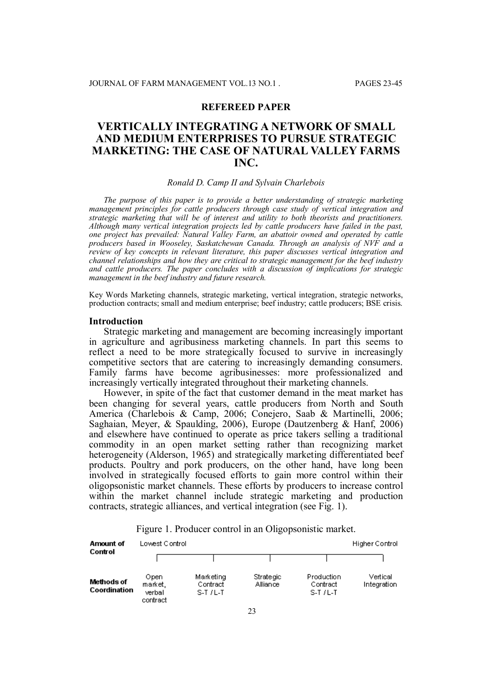## **REFEREED PAPER**

# **VERTICALLY INTEGRATING A NETWORK OF SMALL AND MEDIUM ENTERPRISES TO PURSUE STRATEGIC MARKETING: THE CASE OF NATURAL VALLEY FARMS INC.**

#### *Ronald D. Camp II and Sylvain Charlebois*

*The purpose of this paper is to provide a better understanding of strategic marketing management principles for cattle producers through case study of vertical integration and strategic marketing that will be of interest and utility to both theorists and practitioners. Although many vertical integration projects led by cattle producers have failed in the past, one project has prevailed: Natural Valley Farm, an abattoir owned and operated by cattle producers based in Wooseley, Saskatchewan Canada. Through an analysis of NVF and a review of key concepts in relevant literature, this paper discusses vertical integration and channel relationships and how they are critical to strategic management for the beef industry and cattle producers. The paper concludes with a discussion of implications for strategic management in the beef industry and future research.*

Key Words Marketing channels, strategic marketing, vertical integration, strategic networks, production contracts; small and medium enterprise; beef industry; cattle producers; BSE crisis.

## **Introduction**

Strategic marketing and management are becoming increasingly important in agriculture and agribusiness marketing channels. In part this seems to reflect a need to be more strategically focused to survive in increasingly competitive sectors that are catering to increasingly demanding consumers. Family farms have become agribusinesses: more professionalized and increasingly vertically integrated throughout their marketing channels.

However, in spite of the fact that customer demand in the meat market has been changing for several years, cattle producers from North and South America (Charlebois & Camp, 2006; Conejero, Saab & Martinelli, 2006; Saghaian, Meyer, & Spaulding, 2006), Europe (Dautzenberg & Hanf, 2006) and elsewhere have continued to operate as price takers selling a traditional commodity in an open market setting rather than recognizing market heterogeneity (Alderson, 1965) and strategically marketing differentiated beef products. Poultry and pork producers, on the other hand, have long been involved in strategically focused efforts to gain more control within their oligopsonistic market channels. These efforts by producers to increase control within the market channel include strategic marketing and production contracts, strategic alliances, and vertical integration (see Fig. 1).

| Amount of<br>Control       | Lowest Control.                       | Higher Control                     |                       |                                     |                         |
|----------------------------|---------------------------------------|------------------------------------|-----------------------|-------------------------------------|-------------------------|
|                            |                                       |                                    |                       |                                     |                         |
| Methods of<br>Coordination | Open<br>market.<br>verbal<br>contract | Marketing<br>Contract<br>$S-T/L-T$ | Strategic<br>Alliance | Production<br>Contract<br>$S-T/L-T$ | Vertical<br>Integration |

Figure 1. Producer control in an Oligopsonistic market.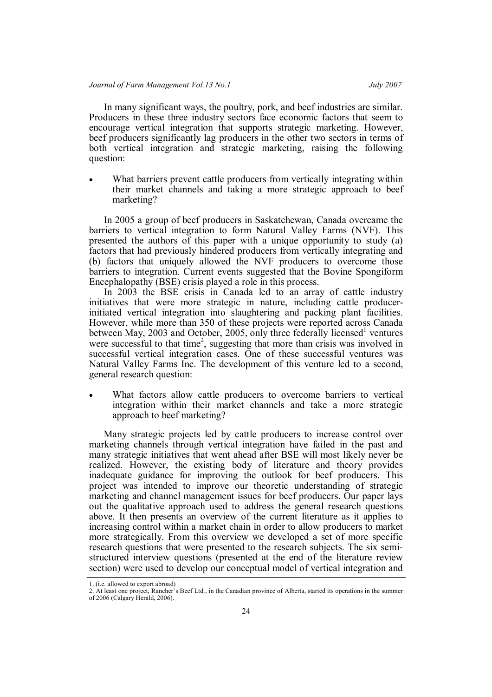In many significant ways, the poultry, pork, and beef industries are similar. Producers in these three industry sectors face economic factors that seem to encourage vertical integration that supports strategic marketing. However, beef producers significantly lag producers in the other two sectors in terms of both vertical integration and strategic marketing, raising the following question:

 What barriers prevent cattle producers from vertically integrating within their market channels and taking a more strategic approach to beef marketing?

In 2005 a group of beef producers in Saskatchewan, Canada overcame the barriers to vertical integration to form Natural Valley Farms (NVF). This presented the authors of this paper with a unique opportunity to study (a) factors that had previously hindered producers from vertically integrating and (b) factors that uniquely allowed the NVF producers to overcome those barriers to integration. Current events suggested that the Bovine Spongiform Encephalopathy (BSE) crisis played a role in this process.

In 2003 the BSE crisis in Canada led to an array of cattle industry initiatives that were more strategic in nature, including cattle producerinitiated vertical integration into slaughtering and packing plant facilities. However, while more than 350 of these projects were reported across Canada between May, 2003 and October, 2005, only three federally licensed<sup>1</sup> ventures were successful to that time<sup>2</sup>, suggesting that more than crisis was involved in successful vertical integration cases. One of these successful ventures was Natural Valley Farms Inc. The development of this venture led to a second, general research question:

 What factors allow cattle producers to overcome barriers to vertical integration within their market channels and take a more strategic approach to beef marketing?

Many strategic projects led by cattle producers to increase control over marketing channels through vertical integration have failed in the past and many strategic initiatives that went ahead after BSE will most likely never be realized. However, the existing body of literature and theory provides inadequate guidance for improving the outlook for beef producers. This project was intended to improve our theoretic understanding of strategic marketing and channel management issues for beef producers. Our paper lays out the qualitative approach used to address the general research questions above. It then presents an overview of the current literature as it applies to increasing control within a market chain in order to allow producers to market more strategically. From this overview we developed a set of more specific research questions that were presented to the research subjects. The six semistructured interview questions (presented at the end of the literature review section) were used to develop our conceptual model of vertical integration and

<sup>1. (</sup>i.e. allowed to export abroad)

<sup>2.</sup> At least one project, Rancher's Beef Ltd., in the Canadian province of Alberta, started its operations in the summer of 2006 (Calgary Herald, 2006).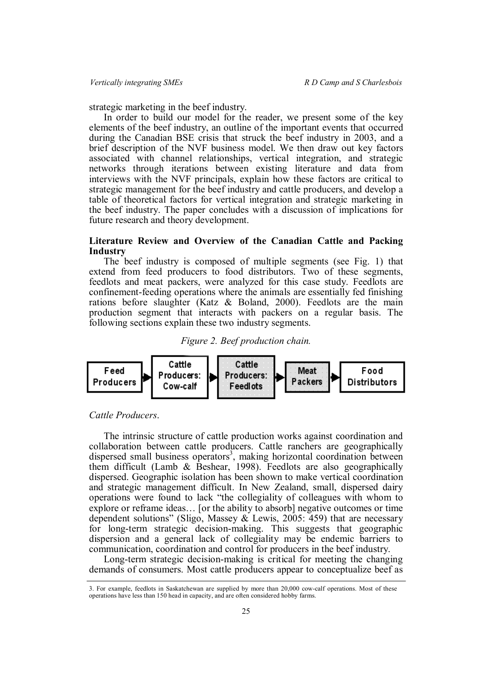strategic marketing in the beef industry.

In order to build our model for the reader, we present some of the key elements of the beef industry, an outline of the important events that occurred during the Canadian BSE crisis that struck the beef industry in 2003, and a brief description of the NVF business model. We then draw out key factors associated with channel relationships, vertical integration, and strategic networks through iterations between existing literature and data from interviews with the NVF principals, explain how these factors are critical to strategic management for the beef industry and cattle producers, and develop a table of theoretical factors for vertical integration and strategic marketing in the beef industry. The paper concludes with a discussion of implications for future research and theory development.

## **Literature Review and Overview of the Canadian Cattle and Packing Industry**

The beef industry is composed of multiple segments (see Fig. 1) that extend from feed producers to food distributors. Two of these segments, feedlots and meat packers, were analyzed for this case study. Feedlots are confinement-feeding operations where the animals are essentially fed finishing rations before slaughter (Katz & Boland, 2000). Feedlots are the main production segment that interacts with packers on a regular basis. The following sections explain these two industry segments.





## *Cattle Producers*.

The intrinsic structure of cattle production works against coordination and collaboration between cattle producers. Cattle ranchers are geographically dispersed small business operators<sup>3</sup>, making horizontal coordination between them difficult (Lamb & Beshear, 1998). Feedlots are also geographically dispersed. Geographic isolation has been shown to make vertical coordination and strategic management difficult. In New Zealand, small, dispersed dairy operations were found to lack "the collegiality of colleagues with whom to explore or reframe ideas… [or the ability to absorb] negative outcomes or time dependent solutions" (Sligo, Massey & Lewis, 2005: 459) that are necessary for long-term strategic decision-making. This suggests that geographic dispersion and a general lack of collegiality may be endemic barriers to communication, coordination and control for producers in the beef industry.

Long-term strategic decision-making is critical for meeting the changing demands of consumers. Most cattle producers appear to conceptualize beef as

<sup>3.</sup> For example, feedlots in Saskatchewan are supplied by more than 20,000 cow-calf operations. Most of these operations have less than 150 head in capacity, and are often considered hobby farms.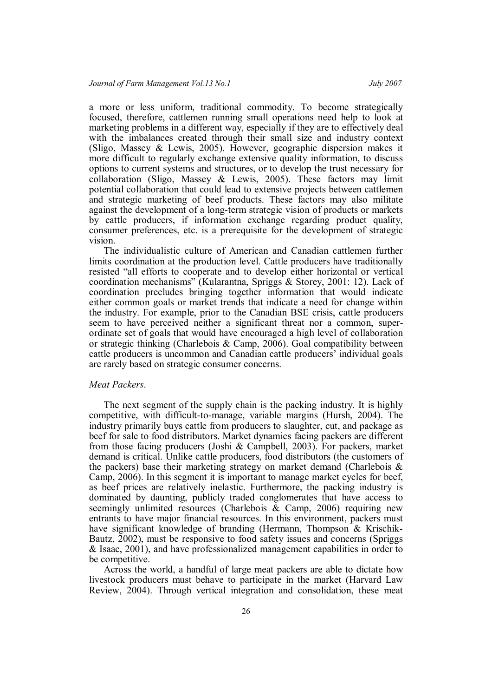a more or less uniform, traditional commodity. To become strategically focused, therefore, cattlemen running small operations need help to look at marketing problems in a different way, especially if they are to effectively deal with the imbalances created through their small size and industry context (Sligo, Massey & Lewis, 2005). However, geographic dispersion makes it more difficult to regularly exchange extensive quality information, to discuss options to current systems and structures, or to develop the trust necessary for collaboration (Sligo, Massey & Lewis, 2005). These factors may limit potential collaboration that could lead to extensive projects between cattlemen and strategic marketing of beef products. These factors may also militate against the development of a long-term strategic vision of products or markets by cattle producers, if information exchange regarding product quality, consumer preferences, etc. is a prerequisite for the development of strategic vision.

The individualistic culture of American and Canadian cattlemen further limits coordination at the production level. Cattle producers have traditionally resisted "all efforts to cooperate and to develop either horizontal or vertical coordination mechanisms" (Kularantna, Spriggs & Storey, 2001: 12). Lack of coordination precludes bringing together information that would indicate either common goals or market trends that indicate a need for change within the industry. For example, prior to the Canadian BSE crisis, cattle producers seem to have perceived neither a significant threat nor a common, superordinate set of goals that would have encouraged a high level of collaboration or strategic thinking (Charlebois & Camp, 2006). Goal compatibility between cattle producers is uncommon and Canadian cattle producers' individual goals are rarely based on strategic consumer concerns.

### *Meat Packers*.

The next segment of the supply chain is the packing industry. It is highly competitive, with difficult-to-manage, variable margins (Hursh, 2004). The industry primarily buys cattle from producers to slaughter, cut, and package as beef for sale to food distributors. Market dynamics facing packers are different from those facing producers (Joshi & Campbell, 2003). For packers, market demand is critical. Unlike cattle producers, food distributors (the customers of the packers) base their marketing strategy on market demand (Charlebois  $\&$ Camp, 2006). In this segment it is important to manage market cycles for beef, as beef prices are relatively inelastic. Furthermore, the packing industry is dominated by daunting, publicly traded conglomerates that have access to seemingly unlimited resources (Charlebois & Camp, 2006) requiring new entrants to have major financial resources. In this environment, packers must have significant knowledge of branding (Hermann, Thompson & Krischik-Bautz, 2002), must be responsive to food safety issues and concerns (Spriggs & Isaac, 2001), and have professionalized management capabilities in order to be competitive.

Across the world, a handful of large meat packers are able to dictate how livestock producers must behave to participate in the market (Harvard Law Review, 2004). Through vertical integration and consolidation, these meat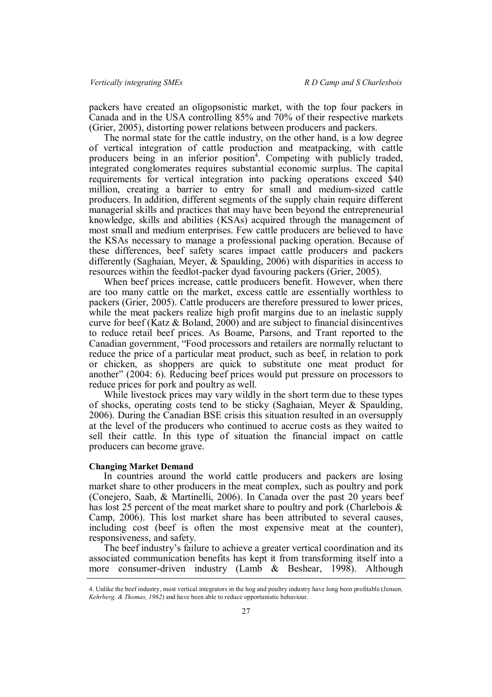packers have created an oligopsonistic market, with the top four packers in Canada and in the USA controlling 85% and 70% of their respective markets (Grier, 2005), distorting power relations between producers and packers.

The normal state for the cattle industry, on the other hand, is a low degree of vertical integration of cattle production and meatpacking, with cattle producers being in an inferior position<sup>4</sup>. Competing with publicly traded, integrated conglomerates requires substantial economic surplus. The capital requirements for vertical integration into packing operations exceed \$40 million, creating a barrier to entry for small and medium-sized cattle producers. In addition, different segments of the supply chain require different managerial skills and practices that may have been beyond the entrepreneurial knowledge, skills and abilities (KSAs) acquired through the management of most small and medium enterprises. Few cattle producers are believed to have the KSAs necessary to manage a professional packing operation. Because of these differences, beef safety scares impact cattle producers and packers differently (Saghaian, Meyer, & Spaulding, 2006) with disparities in access to resources within the feedlot-packer dyad favouring packers (Grier, 2005).

When beef prices increase, cattle producers benefit. However, when there are too many cattle on the market, excess cattle are essentially worthless to packers (Grier, 2005). Cattle producers are therefore pressured to lower prices, while the meat packers realize high profit margins due to an inelastic supply curve for beef (Katz  $\&$  Boland, 2000) and are subject to financial disincentives to reduce retail beef prices. As Boame, Parsons, and Trant reported to the Canadian government, "Food processors and retailers are normally reluctant to reduce the price of a particular meat product, such as beef, in relation to pork or chicken, as shoppers are quick to substitute one meat product for another" (2004: 6). Reducing beef prices would put pressure on processors to reduce prices for pork and poultry as well.

While livestock prices may vary wildly in the short term due to these types of shocks, operating costs tend to be sticky (Saghaian, Meyer & Spaulding, 2006). During the Canadian BSE crisis this situation resulted in an oversupply at the level of the producers who continued to accrue costs as they waited to sell their cattle. In this type of situation the financial impact on cattle producers can become grave.

#### **Changing Market Demand**

In countries around the world cattle producers and packers are losing market share to other producers in the meat complex, such as poultry and pork (Conejero, Saab, & Martinelli, 2006). In Canada over the past 20 years beef has lost 25 percent of the meat market share to poultry and pork (Charlebois  $\&$ Camp, 2006). This lost market share has been attributed to several causes, including cost (beef is often the most expensive meat at the counter), responsiveness, and safety.

The beef industry's failure to achieve a greater vertical coordination and its associated communication benefits has kept it from transforming itself into a more consumer-driven industry (Lamb & Beshear, 1998). Although

<sup>4.</sup> Unlike the beef industry, most vertical integrators in the hog and poultry industry have long been profitable (Jensen*, Kehrberg, & Thomas, 1962*) and have been able to reduce opportunistic behaviour.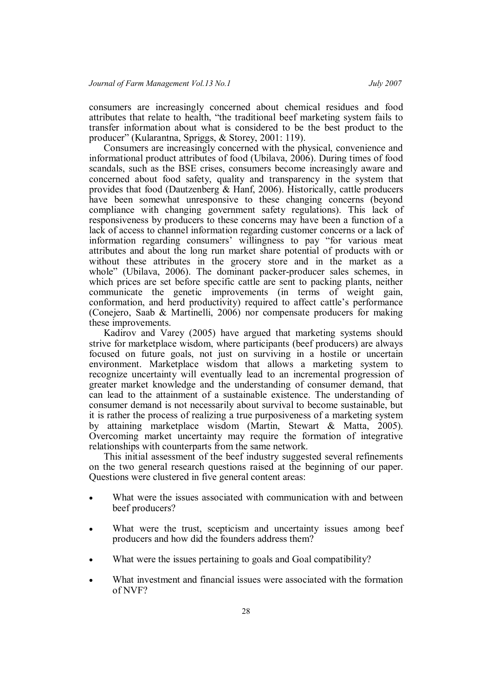consumers are increasingly concerned about chemical residues and food attributes that relate to health, "the traditional beef marketing system fails to transfer information about what is considered to be the best product to the producer" (Kularantna, Spriggs, & Storey, 2001: 119).

Consumers are increasingly concerned with the physical, convenience and informational product attributes of food (Ubilava, 2006). During times of food scandals, such as the BSE crises, consumers become increasingly aware and concerned about food safety, quality and transparency in the system that provides that food (Dautzenberg & Hanf, 2006). Historically, cattle producers have been somewhat unresponsive to these changing concerns (beyond compliance with changing government safety regulations). This lack of responsiveness by producers to these concerns may have been a function of a lack of access to channel information regarding customer concerns or a lack of information regarding consumers' willingness to pay "for various meat attributes and about the long run market share potential of products with or without these attributes in the grocery store and in the market as a whole" (Ubilava, 2006). The dominant packer-producer sales schemes, in which prices are set before specific cattle are sent to packing plants, neither communicate the genetic improvements (in terms of weight gain, conformation, and herd productivity) required to affect cattle's performance (Conejero, Saab & Martinelli, 2006) nor compensate producers for making these improvements.

Kadirov and Varey (2005) have argued that marketing systems should strive for marketplace wisdom, where participants (beef producers) are always focused on future goals, not just on surviving in a hostile or uncertain environment. Marketplace wisdom that allows a marketing system to recognize uncertainty will eventually lead to an incremental progression of greater market knowledge and the understanding of consumer demand, that can lead to the attainment of a sustainable existence. The understanding of consumer demand is not necessarily about survival to become sustainable, but it is rather the process of realizing a true purposiveness of a marketing system by attaining marketplace wisdom (Martin, Stewart & Matta, 2005). Overcoming market uncertainty may require the formation of integrative relationships with counterparts from the same network.

This initial assessment of the beef industry suggested several refinements on the two general research questions raised at the beginning of our paper. Questions were clustered in five general content areas:

- What were the issues associated with communication with and between beef producers?
- What were the trust, scepticism and uncertainty issues among beef producers and how did the founders address them?
- What were the issues pertaining to goals and Goal compatibility?
- What investment and financial issues were associated with the formation of NVF?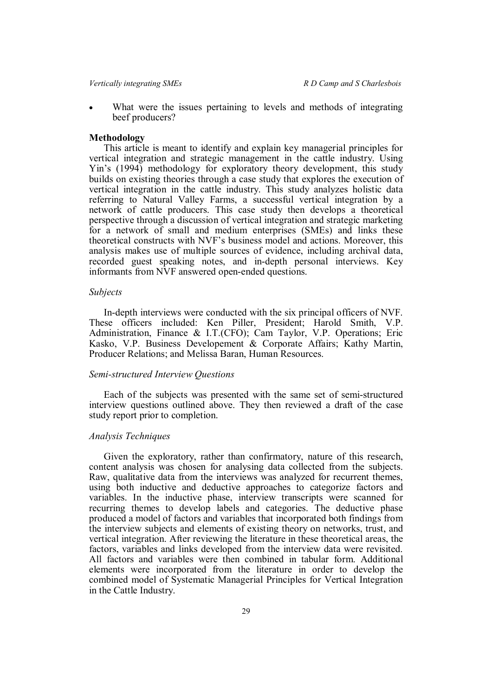*Vertically integrating SMEs R D Camp and S Charlesbois*

 What were the issues pertaining to levels and methods of integrating beef producers?

#### **Methodology**

This article is meant to identify and explain key managerial principles for vertical integration and strategic management in the cattle industry. Using Yin's (1994) methodology for exploratory theory development, this study builds on existing theories through a case study that explores the execution of vertical integration in the cattle industry. This study analyzes holistic data referring to Natural Valley Farms, a successful vertical integration by a network of cattle producers. This case study then develops a theoretical perspective through a discussion of vertical integration and strategic marketing for a network of small and medium enterprises (SMEs) and links these theoretical constructs with NVF's business model and actions. Moreover, this analysis makes use of multiple sources of evidence, including archival data, recorded guest speaking notes, and in-depth personal interviews. Key informants from NVF answered open-ended questions.

#### *Subjects*

In-depth interviews were conducted with the six principal officers of NVF. These officers included: Ken Piller, President; Harold Smith, V.P. Administration, Finance & I.T.(CFO); Cam Taylor, V.P. Operations; Eric Kasko, V.P. Business Developement & Corporate Affairs; Kathy Martin, Producer Relations; and Melissa Baran, Human Resources.

## *Semi-structured Interview Questions*

Each of the subjects was presented with the same set of semi-structured interview questions outlined above. They then reviewed a draft of the case study report prior to completion.

#### *Analysis Techniques*

Given the exploratory, rather than confirmatory, nature of this research, content analysis was chosen for analysing data collected from the subjects. Raw, qualitative data from the interviews was analyzed for recurrent themes, using both inductive and deductive approaches to categorize factors and variables. In the inductive phase, interview transcripts were scanned for recurring themes to develop labels and categories. The deductive phase produced a model of factors and variables that incorporated both findings from the interview subjects and elements of existing theory on networks, trust, and vertical integration. After reviewing the literature in these theoretical areas, the factors, variables and links developed from the interview data were revisited. All factors and variables were then combined in tabular form. Additional elements were incorporated from the literature in order to develop the combined model of Systematic Managerial Principles for Vertical Integration in the Cattle Industry.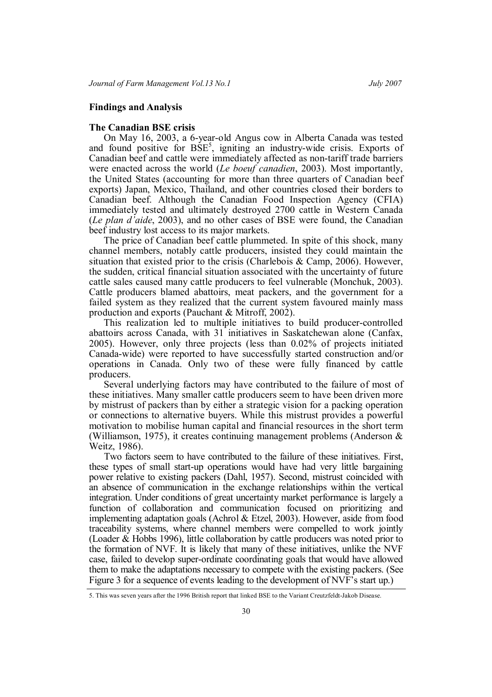## **Findings and Analysis**

#### **The Canadian BSE crisis**

On May 16, 2003, a 6-year-old Angus cow in Alberta Canada was tested and found positive for  $BSE<sup>5</sup>$ , igniting an industry-wide crisis. Exports of Canadian beef and cattle were immediately affected as non-tariff trade barriers were enacted across the world (*Le boeuf canadien*, 2003). Most importantly, the United States (accounting for more than three quarters of Canadian beef exports) Japan, Mexico, Thailand, and other countries closed their borders to Canadian beef. Although the Canadian Food Inspection Agency (CFIA) immediately tested and ultimately destroyed 2700 cattle in Western Canada (*Le plan d'aide*, 2003), and no other cases of BSE were found, the Canadian beef industry lost access to its major markets.

The price of Canadian beef cattle plummeted. In spite of this shock, many channel members, notably cattle producers, insisted they could maintain the situation that existed prior to the crisis (Charlebois & Camp, 2006). However, the sudden, critical financial situation associated with the uncertainty of future cattle sales caused many cattle producers to feel vulnerable (Monchuk, 2003). Cattle producers blamed abattoirs, meat packers, and the government for a failed system as they realized that the current system favoured mainly mass production and exports (Pauchant & Mitroff, 2002).

This realization led to multiple initiatives to build producer-controlled abattoirs across Canada, with 31 initiatives in Saskatchewan alone (Canfax, 2005). However, only three projects (less than 0.02% of projects initiated Canada-wide) were reported to have successfully started construction and/or operations in Canada. Only two of these were fully financed by cattle producers.

Several underlying factors may have contributed to the failure of most of these initiatives. Many smaller cattle producers seem to have been driven more by mistrust of packers than by either a strategic vision for a packing operation or connections to alternative buyers. While this mistrust provides a powerful motivation to mobilise human capital and financial resources in the short term (Williamson, 1975), it creates continuing management problems (Anderson & Weitz, 1986).

Two factors seem to have contributed to the failure of these initiatives. First, these types of small start-up operations would have had very little bargaining power relative to existing packers (Dahl, 1957). Second, mistrust coincided with an absence of communication in the exchange relationships within the vertical integration. Under conditions of great uncertainty market performance is largely a function of collaboration and communication focused on prioritizing and implementing adaptation goals (Achrol & Etzel, 2003). However, aside from food traceability systems, where channel members were compelled to work jointly (Loader & Hobbs 1996), little collaboration by cattle producers was noted prior to the formation of NVF. It is likely that many of these initiatives, unlike the NVF case, failed to develop super-ordinate coordinating goals that would have allowed them to make the adaptations necessary to compete with the existing packers. (See Figure 3 for a sequence of events leading to the development of NVF's start up.)

<sup>5.</sup> This was seven years after the 1996 British report that linked BSE to the Variant Creutzfeldt-Jakob Disease.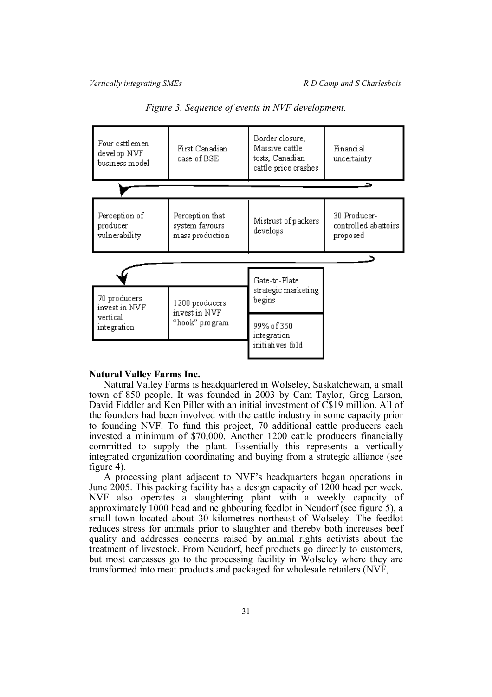

*Figure 3. Sequence of events in NVF development.*

#### **Natural Valley Farms Inc.**

Natural Valley Farms is headquartered in Wolseley, Saskatchewan, a small town of 850 people. It was founded in 2003 by Cam Taylor, Greg Larson, David Fiddler and Ken Piller with an initial investment of C\$19 million. All of the founders had been involved with the cattle industry in some capacity prior to founding NVF. To fund this project, 70 additional cattle producers each invested a minimum of \$70,000. Another 1200 cattle producers financially committed to supply the plant. Essentially this represents a vertically integrated organization coordinating and buying from a strategic alliance (see figure 4).

A processing plant adjacent to NVF's headquarters began operations in June 2005. This packing facility has a design capacity of 1200 head per week. NVF also operates a slaughtering plant with a weekly capacity of approximately 1000 head and neighbouring feedlot in Neudorf (see figure 5), a small town located about 30 kilometres northeast of Wolseley. The feedlot reduces stress for animals prior to slaughter and thereby both increases beef quality and addresses concerns raised by animal rights activists about the treatment of livestock. From Neudorf, beef products go directly to customers, but most carcasses go to the processing facility in Wolseley where they are transformed into meat products and packaged for wholesale retailers (NVF,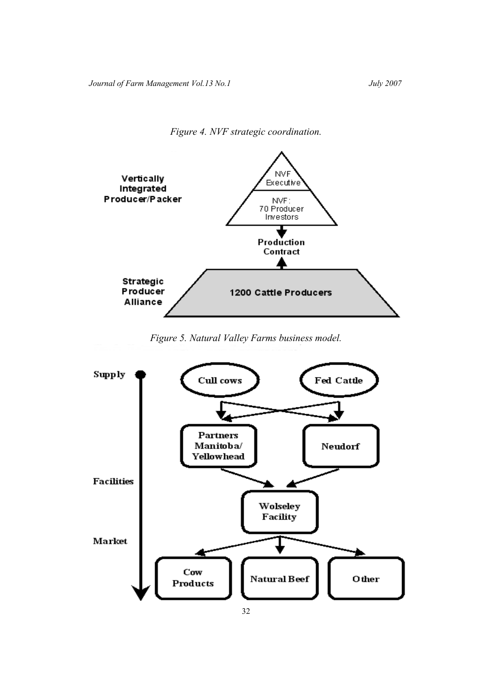*Figure 4. NVF strategic coordination.*



## *Figure 5. Natural Valley Farms business model.*

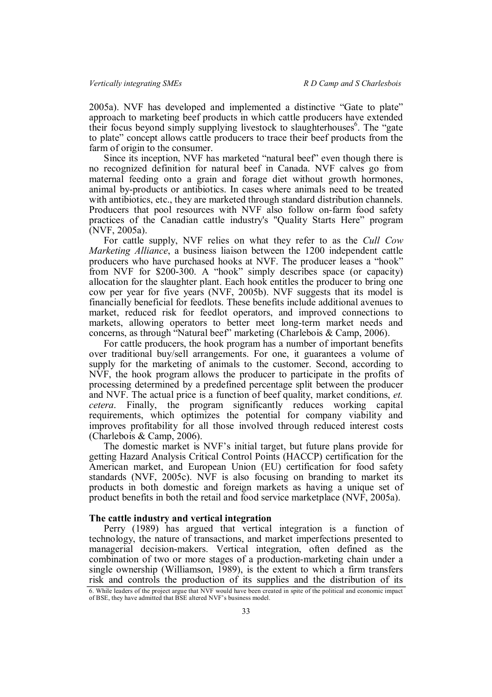2005a). NVF has developed and implemented a distinctive "Gate to plate" approach to marketing beef products in which cattle producers have extended their focus beyond simply supplying livestock to slaughterhouses<sup>6</sup>. The "gate to plate" concept allows cattle producers to trace their beef products from the farm of origin to the consumer.

Since its inception, NVF has marketed "natural beef" even though there is no recognized definition for natural beef in Canada. NVF calves go from maternal feeding onto a grain and forage diet without growth hormones, animal by-products or antibiotics. In cases where animals need to be treated with antibiotics, etc., they are marketed through standard distribution channels. Producers that pool resources with NVF also follow on-farm food safety practices of the Canadian cattle industry's "Quality Starts Here" program (NVF, 2005a).

For cattle supply, NVF relies on what they refer to as the *Cull Cow Marketing Alliance*, a business liaison between the 1200 independent cattle producers who have purchased hooks at NVF. The producer leases a "hook" from NVF for \$200-300. A "hook" simply describes space (or capacity) allocation for the slaughter plant. Each hook entitles the producer to bring one cow per year for five years (NVF, 2005b). NVF suggests that its model is financially beneficial for feedlots. These benefits include additional avenues to market, reduced risk for feedlot operators, and improved connections to markets, allowing operators to better meet long-term market needs and concerns, as through "Natural beef" marketing (Charlebois & Camp, 2006).

For cattle producers, the hook program has a number of important benefits over traditional buy/sell arrangements. For one, it guarantees a volume of supply for the marketing of animals to the customer. Second, according to NVF, the hook program allows the producer to participate in the profits of processing determined by a predefined percentage split between the producer and NVF. The actual price is a function of beef quality, market conditions, *et. cetera*. Finally, the program significantly reduces working capital requirements, which optimizes the potential for company viability and improves profitability for all those involved through reduced interest costs (Charlebois & Camp, 2006).

The domestic market is NVF's initial target, but future plans provide for getting Hazard Analysis Critical Control Points (HACCP) certification for the American market, and European Union (EU) certification for food safety standards (NVF, 2005c). NVF is also focusing on branding to market its products in both domestic and foreign markets as having a unique set of product benefits in both the retail and food service marketplace (NVF, 2005a).

#### **The cattle industry and vertical integration**

Perry (1989) has argued that vertical integration is a function of technology, the nature of transactions, and market imperfections presented to managerial decision-makers. Vertical integration, often defined as the combination of two or more stages of a production-marketing chain under a single ownership (Williamson, 1989), is the extent to which a firm transfers risk and controls the production of its supplies and the distribution of its

<sup>6.</sup> While leaders of the project argue that NVF would have been created in spite of the political and economic impact of BSE, they have admitted that BSE altered NVF's business model.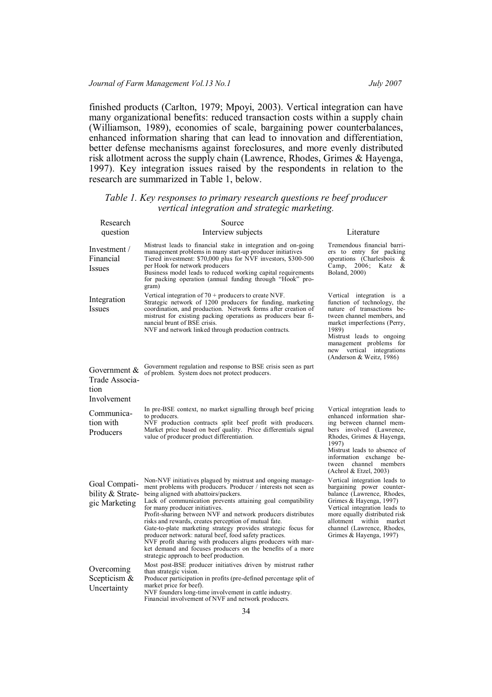finished products (Carlton, 1979; Mpoyi, 2003). Vertical integration can have many organizational benefits: reduced transaction costs within a supply chain (Williamson, 1989), economies of scale, bargaining power counterbalances, enhanced information sharing that can lead to innovation and differentiation, better defense mechanisms against foreclosures, and more evenly distributed risk allotment across the supply chain (Lawrence, Rhodes, Grimes & Hayenga, 1997). Key integration issues raised by the respondents in relation to the research are summarized in Table 1, below.

| Table 1. Key responses to primary research questions re beef producer |  |  |  |  |  |
|-----------------------------------------------------------------------|--|--|--|--|--|
| vertical integration and strategic marketing.                         |  |  |  |  |  |

| Research                                              | Source                                                                                                                                                                                                                                                                                                                                                                                                                                                                                                                                                                                                                                                                                              |                                                                                                                                                                                                                                                                                |
|-------------------------------------------------------|-----------------------------------------------------------------------------------------------------------------------------------------------------------------------------------------------------------------------------------------------------------------------------------------------------------------------------------------------------------------------------------------------------------------------------------------------------------------------------------------------------------------------------------------------------------------------------------------------------------------------------------------------------------------------------------------------------|--------------------------------------------------------------------------------------------------------------------------------------------------------------------------------------------------------------------------------------------------------------------------------|
| question                                              | Interview subjects                                                                                                                                                                                                                                                                                                                                                                                                                                                                                                                                                                                                                                                                                  | Literature                                                                                                                                                                                                                                                                     |
| Investment $/$<br>Financial<br>Issues                 | Mistrust leads to financial stake in integration and on-going<br>management problems in many start-up producer initiatives<br>Tiered investment: \$70,000 plus for NVF investors, \$300-500<br>per Hook for network producers<br>Business model leads to reduced working capital requirements<br>for packing operation (annual funding through "Hook" pro-<br>gram)                                                                                                                                                                                                                                                                                                                                 | Tremendous financial barri-<br>ers to entry for packing<br>operations (Charlesbois $\&$<br>Camp, $2006$ ;<br>Katz<br>&<br>Boland, 2000)                                                                                                                                        |
| Integration<br><i>Issues</i>                          | Vertical integration of $70 +$ producers to create NVF.<br>Strategic network of 1200 producers for funding, marketing<br>coordination, and production. Network forms after creation of<br>mistrust for existing packing operations as producers bear fi-<br>nancial brunt of BSE crisis.<br>NVF and network linked through production contracts.                                                                                                                                                                                                                                                                                                                                                    | Vertical integration is a<br>function of technology, the<br>nature of transactions be-<br>tween channel members, and<br>market imperfections (Perry,<br>1989)<br>Mistrust leads to ongoing<br>management problems for<br>new vertical integrations<br>(Anderson & Weitz, 1986) |
| Government &<br>Trade Associa-<br>tion<br>Involvement | Government regulation and response to BSE crisis seen as part<br>of problem. System does not protect producers.                                                                                                                                                                                                                                                                                                                                                                                                                                                                                                                                                                                     |                                                                                                                                                                                                                                                                                |
| Communica-<br>tion with<br>Producers                  | In pre-BSE context, no market signalling through beef pricing<br>to producers.<br>NVF production contracts split beef profit with producers.<br>Market price based on beef quality. Price differentials signal<br>value of producer product differentiation.                                                                                                                                                                                                                                                                                                                                                                                                                                        | Vertical integration leads to<br>enhanced information shar-<br>ing between channel mem-<br>bers involved (Lawrence,<br>Rhodes, Grimes & Hayenga,<br>1997)<br>Mistrust leads to absence of<br>information exchange be-<br>tween channel members<br>(Achrol & Etzel, 2003)       |
| Goal Compati-<br>bility & Strate-<br>gic Marketing    | Non-NVF initiatives plagued by mistrust and ongoing manage-<br>ment problems with producers. Producer / interests not seen as<br>being aligned with abattoirs/packers.<br>Lack of communication prevents attaining goal compatibility<br>for many producer initiatives.<br>Profit-sharing between NVF and network producers distributes<br>risks and rewards, creates perception of mutual fate.<br>Gate-to-plate marketing strategy provides strategic focus for<br>producer network: natural beef, food safety practices.<br>NVF profit sharing with producers aligns producers with mar-<br>ket demand and focuses producers on the benefits of a more<br>strategic approach to beef production. | Vertical integration leads to<br>bargaining power counter-<br>balance (Lawrence, Rhodes,<br>Grimes & Hayenga, 1997)<br>Vertical integration leads to<br>more equally distributed risk<br>allotment within market<br>channel (Lawrence, Rhodes,<br>Grimes & Hayenga, 1997)      |
| Overcoming<br>Scepticism $\&$<br>Uncertainty          | Most post-BSE producer initiatives driven by mistrust rather<br>than strategic vision.<br>Producer participation in profits (pre-defined percentage split of<br>market price for beef).<br>NVF founders long-time involvement in cattle industry.<br>Financial involvement of NVF and network producers.                                                                                                                                                                                                                                                                                                                                                                                            |                                                                                                                                                                                                                                                                                |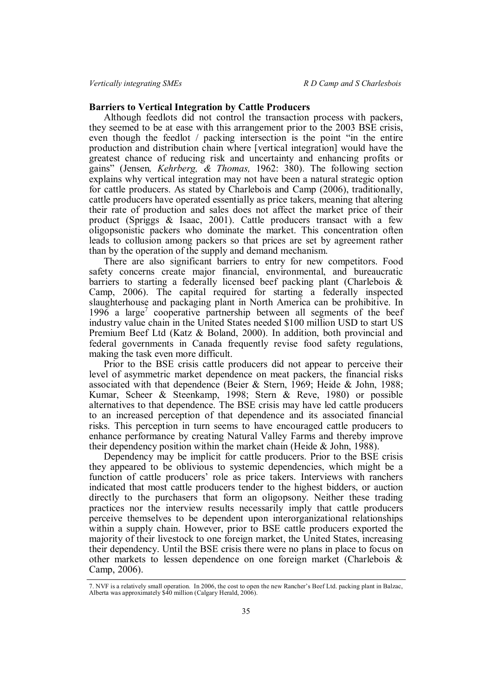## **Barriers to Vertical Integration by Cattle Producers**

Although feedlots did not control the transaction process with packers, they seemed to be at ease with this arrangement prior to the 2003 BSE crisis, even though the feedlot / packing intersection is the point "in the entire production and distribution chain where [vertical integration] would have the greatest chance of reducing risk and uncertainty and enhancing profits or gains" (Jensen*, Kehrberg, & Thomas,* 1962: 380). The following section explains why vertical integration may not have been a natural strategic option for cattle producers. As stated by Charlebois and Camp (2006), traditionally, cattle producers have operated essentially as price takers, meaning that altering their rate of production and sales does not affect the market price of their product (Spriggs & Isaac, 2001). Cattle producers transact with a few oligopsonistic packers who dominate the market. This concentration often leads to collusion among packers so that prices are set by agreement rather than by the operation of the supply and demand mechanism.

There are also significant barriers to entry for new competitors. Food safety concerns create major financial, environmental, and bureaucratic barriers to starting a federally licensed beef packing plant (Charlebois  $\&$ Camp, 2006). The capital required for starting a federally inspected slaughterhouse and packaging plant in North America can be prohibitive. In  $1996$  a large<sup>7</sup> cooperative partnership between all segments of the beef industry value chain in the United States needed \$100 million USD to start US Premium Beef Ltd (Katz & Boland, 2000). In addition, both provincial and federal governments in Canada frequently revise food safety regulations, making the task even more difficult.

Prior to the BSE crisis cattle producers did not appear to perceive their level of asymmetric market dependence on meat packers, the financial risks associated with that dependence (Beier & Stern, 1969; Heide & John, 1988; Kumar, Scheer & Steenkamp, 1998; Stern & Reve, 1980) or possible alternatives to that dependence. The BSE crisis may have led cattle producers to an increased perception of that dependence and its associated financial risks. This perception in turn seems to have encouraged cattle producers to enhance performance by creating Natural Valley Farms and thereby improve their dependency position within the market chain (Heide & John, 1988).

Dependency may be implicit for cattle producers. Prior to the BSE crisis they appeared to be oblivious to systemic dependencies, which might be a function of cattle producers' role as price takers. Interviews with ranchers indicated that most cattle producers tender to the highest bidders, or auction directly to the purchasers that form an oligopsony. Neither these trading practices nor the interview results necessarily imply that cattle producers perceive themselves to be dependent upon interorganizational relationships within a supply chain. However, prior to BSE cattle producers exported the majority of their livestock to one foreign market, the United States, increasing their dependency. Until the BSE crisis there were no plans in place to focus on other markets to lessen dependence on one foreign market (Charlebois & Camp, 2006).

<sup>7.</sup> NVF is a relatively small operation. In 2006, the cost to open the new Rancher's Beef Ltd. packing plant in Balzac, Alberta was approximately \$40 million (Calgary Herald, 2006).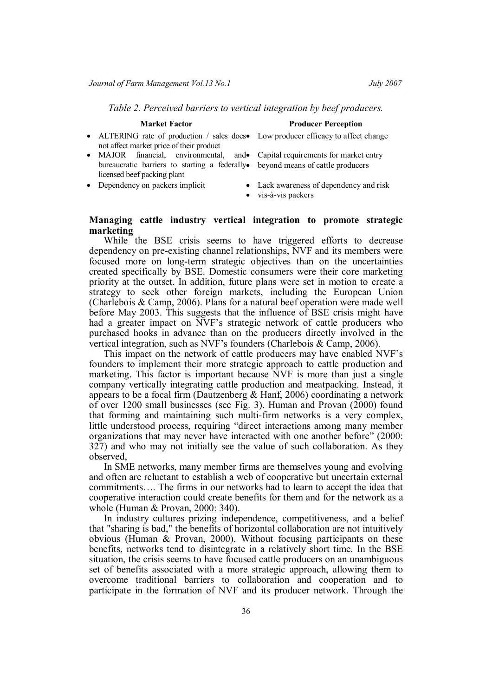*Table 2. Perceived barriers to vertical integration by beef producers.*

## **Market Factor Producer Perception**

- ALTERING rate of production / sales does Low producer efficacy to affect change not affect market price of their product
- MAJOR financial, environmental, bureaucratic barriers to starting a federally beyond means of cattle producers licensed beef packing plant
- 
- Capital requirements for market entry
- Dependency on packers implicit Lack awareness of dependency and risk
	- vis-à-vis packers

## **Managing cattle industry vertical integration to promote strategic marketing**

While the BSE crisis seems to have triggered efforts to decrease dependency on pre-existing channel relationships, NVF and its members were focused more on long-term strategic objectives than on the uncertainties created specifically by BSE. Domestic consumers were their core marketing priority at the outset. In addition, future plans were set in motion to create a strategy to seek other foreign markets, including the European Union (Charlebois & Camp, 2006). Plans for a natural beef operation were made well before May 2003. This suggests that the influence of BSE crisis might have had a greater impact on NVF's strategic network of cattle producers who purchased hooks in advance than on the producers directly involved in the vertical integration, such as NVF's founders (Charlebois & Camp, 2006).

This impact on the network of cattle producers may have enabled NVF's founders to implement their more strategic approach to cattle production and marketing. This factor is important because NVF is more than just a single company vertically integrating cattle production and meatpacking. Instead, it appears to be a focal firm (Dautzenberg & Hanf, 2006) coordinating a network of over 1200 small businesses (see Fig. 3). Human and Provan (2000) found that forming and maintaining such multi-firm networks is a very complex, little understood process, requiring "direct interactions among many member organizations that may never have interacted with one another before" (2000: 327) and who may not initially see the value of such collaboration. As they observed,

In SME networks, many member firms are themselves young and evolving and often are reluctant to establish a web of cooperative but uncertain external commitments…. The firms in our networks had to learn to accept the idea that cooperative interaction could create benefits for them and for the network as a whole (Human & Provan, 2000: 340).

In industry cultures prizing independence, competitiveness, and a belief that "sharing is bad," the benefits of horizontal collaboration are not intuitively obvious (Human & Provan, 2000). Without focusing participants on these benefits, networks tend to disintegrate in a relatively short time. In the BSE situation, the crisis seems to have focused cattle producers on an unambiguous set of benefits associated with a more strategic approach, allowing them to overcome traditional barriers to collaboration and cooperation and to participate in the formation of NVF and its producer network. Through the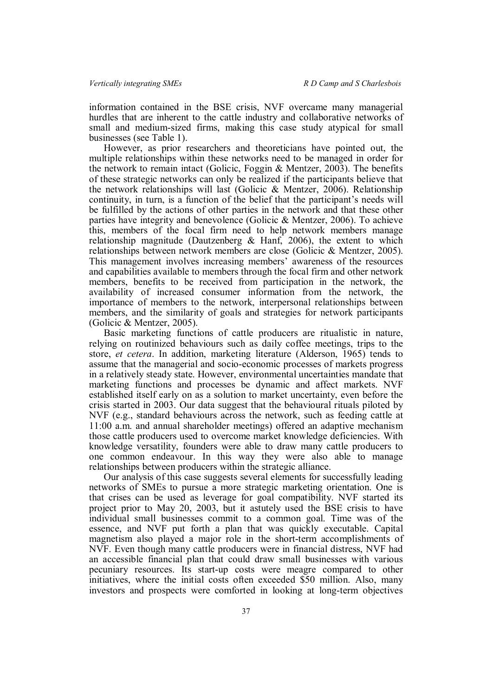information contained in the BSE crisis, NVF overcame many managerial hurdles that are inherent to the cattle industry and collaborative networks of small and medium-sized firms, making this case study atypical for small businesses (see Table 1).

However, as prior researchers and theoreticians have pointed out, the multiple relationships within these networks need to be managed in order for the network to remain intact (Golicic, Foggin & Mentzer, 2003). The benefits of these strategic networks can only be realized if the participants believe that the network relationships will last (Golicic & Mentzer, 2006). Relationship continuity, in turn, is a function of the belief that the participant's needs will be fulfilled by the actions of other parties in the network and that these other parties have integrity and benevolence (Golicic & Mentzer, 2006). To achieve this, members of the focal firm need to help network members manage relationship magnitude (Dautzenberg & Hanf, 2006), the extent to which relationships between network members are close (Golicic & Mentzer, 2005). This management involves increasing members' awareness of the resources and capabilities available to members through the focal firm and other network members, benefits to be received from participation in the network, the availability of increased consumer information from the network, the importance of members to the network, interpersonal relationships between members, and the similarity of goals and strategies for network participants (Golicic & Mentzer, 2005).

Basic marketing functions of cattle producers are ritualistic in nature, relying on routinized behaviours such as daily coffee meetings, trips to the store, *et cetera*. In addition, marketing literature (Alderson, 1965) tends to assume that the managerial and socio-economic processes of markets progress in a relatively steady state. However, environmental uncertainties mandate that marketing functions and processes be dynamic and affect markets. NVF established itself early on as a solution to market uncertainty, even before the crisis started in 2003. Our data suggest that the behavioural rituals piloted by NVF (e.g., standard behaviours across the network, such as feeding cattle at 11:00 a.m. and annual shareholder meetings) offered an adaptive mechanism those cattle producers used to overcome market knowledge deficiencies. With knowledge versatility, founders were able to draw many cattle producers to one common endeavour. In this way they were also able to manage relationships between producers within the strategic alliance.

Our analysis of this case suggests several elements for successfully leading networks of SMEs to pursue a more strategic marketing orientation. One is that crises can be used as leverage for goal compatibility. NVF started its project prior to May 20, 2003, but it astutely used the BSE crisis to have individual small businesses commit to a common goal. Time was of the essence, and NVF put forth a plan that was quickly executable. Capital magnetism also played a major role in the short-term accomplishments of NVF. Even though many cattle producers were in financial distress, NVF had an accessible financial plan that could draw small businesses with various pecuniary resources. Its start-up costs were meagre compared to other initiatives, where the initial costs often exceeded \$50 million. Also, many investors and prospects were comforted in looking at long-term objectives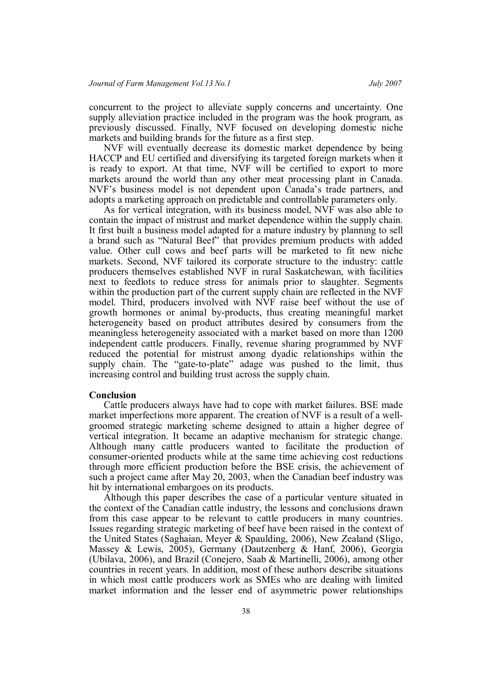concurrent to the project to alleviate supply concerns and uncertainty. One supply alleviation practice included in the program was the hook program, as previously discussed. Finally, NVF focused on developing domestic niche markets and building brands for the future as a first step.

NVF will eventually decrease its domestic market dependence by being HACCP and EU certified and diversifying its targeted foreign markets when it is ready to export. At that time, NVF will be certified to export to more markets around the world than any other meat processing plant in Canada. NVF's business model is not dependent upon Canada's trade partners, and adopts a marketing approach on predictable and controllable parameters only.

As for vertical integration, with its business model, NVF was also able to contain the impact of mistrust and market dependence within the supply chain. It first built a business model adapted for a mature industry by planning to sell a brand such as "Natural Beef" that provides premium products with added value. Other cull cows and beef parts will be marketed to fit new niche markets. Second, NVF tailored its corporate structure to the industry: cattle producers themselves established NVF in rural Saskatchewan, with facilities next to feedlots to reduce stress for animals prior to slaughter. Segments within the production part of the current supply chain are reflected in the NVF model. Third, producers involved with NVF raise beef without the use of growth hormones or animal by-products, thus creating meaningful market heterogeneity based on product attributes desired by consumers from the meaningless heterogeneity associated with a market based on more than 1200 independent cattle producers. Finally, revenue sharing programmed by NVF reduced the potential for mistrust among dyadic relationships within the supply chain. The "gate-to-plate" adage was pushed to the limit, thus increasing control and building trust across the supply chain.

### **Conclusion**

Cattle producers always have had to cope with market failures. BSE made market imperfections more apparent. The creation of NVF is a result of a wellgroomed strategic marketing scheme designed to attain a higher degree of vertical integration. It became an adaptive mechanism for strategic change. Although many cattle producers wanted to facilitate the production of consumer-oriented products while at the same time achieving cost reductions through more efficient production before the BSE crisis, the achievement of such a project came after May 20, 2003, when the Canadian beef industry was hit by international embargoes on its products.

Although this paper describes the case of a particular venture situated in the context of the Canadian cattle industry, the lessons and conclusions drawn from this case appear to be relevant to cattle producers in many countries. Issues regarding strategic marketing of beef have been raised in the context of the United States (Saghaian, Meyer & Spaulding, 2006), New Zealand (Sligo, Massey & Lewis, 2005), Germany (Dautzenberg & Hanf, 2006), Georgia (Ubilava, 2006), and Brazil (Conejero, Saab & Martinelli, 2006), among other countries in recent years. In addition, most of these authors describe situations in which most cattle producers work as SMEs who are dealing with limited market information and the lesser end of asymmetric power relationships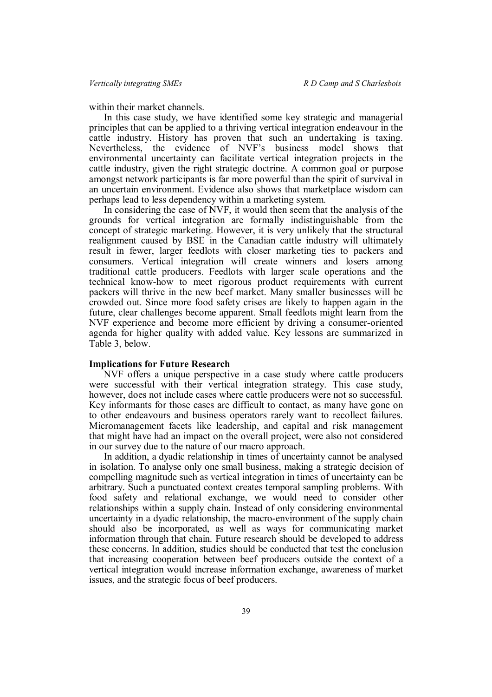within their market channels.

In this case study, we have identified some key strategic and managerial principles that can be applied to a thriving vertical integration endeavour in the cattle industry. History has proven that such an undertaking is taxing. Nevertheless, the evidence of NVF's business model shows that environmental uncertainty can facilitate vertical integration projects in the cattle industry, given the right strategic doctrine. A common goal or purpose amongst network participants is far more powerful than the spirit of survival in an uncertain environment. Evidence also shows that marketplace wisdom can perhaps lead to less dependency within a marketing system.

In considering the case of NVF, it would then seem that the analysis of the grounds for vertical integration are formally indistinguishable from the concept of strategic marketing. However, it is very unlikely that the structural realignment caused by BSE in the Canadian cattle industry will ultimately result in fewer, larger feedlots with closer marketing ties to packers and consumers. Vertical integration will create winners and losers among traditional cattle producers. Feedlots with larger scale operations and the technical know-how to meet rigorous product requirements with current packers will thrive in the new beef market. Many smaller businesses will be crowded out. Since more food safety crises are likely to happen again in the future, clear challenges become apparent. Small feedlots might learn from the NVF experience and become more efficient by driving a consumer-oriented agenda for higher quality with added value. Key lessons are summarized in Table 3, below.

#### **Implications for Future Research**

NVF offers a unique perspective in a case study where cattle producers were successful with their vertical integration strategy. This case study, however, does not include cases where cattle producers were not so successful. Key informants for those cases are difficult to contact, as many have gone on to other endeavours and business operators rarely want to recollect failures. Micromanagement facets like leadership, and capital and risk management that might have had an impact on the overall project, were also not considered in our survey due to the nature of our macro approach.

In addition, a dyadic relationship in times of uncertainty cannot be analysed in isolation. To analyse only one small business, making a strategic decision of compelling magnitude such as vertical integration in times of uncertainty can be arbitrary. Such a punctuated context creates temporal sampling problems. With food safety and relational exchange, we would need to consider other relationships within a supply chain. Instead of only considering environmental uncertainty in a dyadic relationship, the macro-environment of the supply chain should also be incorporated, as well as ways for communicating market information through that chain. Future research should be developed to address these concerns. In addition, studies should be conducted that test the conclusion that increasing cooperation between beef producers outside the context of a vertical integration would increase information exchange, awareness of market issues, and the strategic focus of beef producers.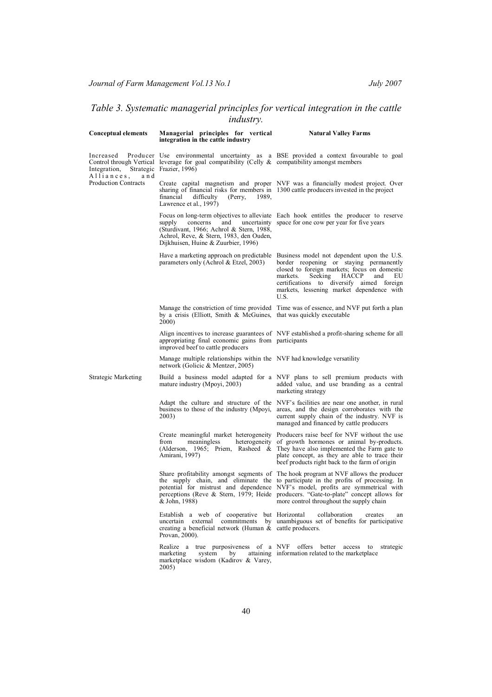# *Table 3. Systematic managerial principles for vertical integration in the cattle industry.*

| <b>Conceptual elements</b>                       | Managerial principles for vertical<br>integration in the cattle industry                                                                                | <b>Natural Valley Farms</b>                                                                                                                                                                                                                                                                                                                                                                       |
|--------------------------------------------------|---------------------------------------------------------------------------------------------------------------------------------------------------------|---------------------------------------------------------------------------------------------------------------------------------------------------------------------------------------------------------------------------------------------------------------------------------------------------------------------------------------------------------------------------------------------------|
| Increased<br>Integration,                        | Control through Vertical leverage for goal compatibility (Celly $\&$ compatibility amongst members<br>Strategic Frazier, 1996)                          | Producer Use environmental uncertainty as a BSE provided a context favourable to goal                                                                                                                                                                                                                                                                                                             |
| Alliances,<br>and<br><b>Production Contracts</b> | financial<br>difficulty<br>(Perry,<br>1989.<br>Lawrence et al., 1997)                                                                                   | Create capital magnetism and proper NVF was a financially modest project. Over<br>sharing of financial risks for members in 1300 cattle producers invested in the project                                                                                                                                                                                                                         |
|                                                  | supply<br>concerns<br>and<br>(Sturdivant, 1966; Achrol & Stern, 1988,<br>Achrol, Reve, & Stern, 1983, den Ouden,<br>Dijkhuisen, Huine & Zuurbier, 1996) | Focus on long-term objectives to alleviate Each hook entitles the producer to reserve<br>uncertainty space for one cow per year for five years                                                                                                                                                                                                                                                    |
|                                                  | parameters only (Achrol $\&$ Etzel, 2003)                                                                                                               | Have a marketing approach on predictable Business model not dependent upon the U.S.<br>border reopening or staying permanently<br>closed to foreign markets; focus on domestic<br>Seeking<br><b>HACCP</b><br>markets.<br>and<br>EU<br>certifications to diversify aimed foreign<br>markets, lessening market dependence with<br>U.S.                                                              |
|                                                  | by a crisis (Elliott, Smith & McGuines, that was quickly executable<br><b>2000</b>                                                                      | Manage the constriction of time provided Time was of essence, and NVF put forth a plan                                                                                                                                                                                                                                                                                                            |
|                                                  | appropriating final economic gains from participants<br>improved beef to cattle producers                                                               | Align incentives to increase guarantees of NVF established a profit-sharing scheme for all                                                                                                                                                                                                                                                                                                        |
|                                                  | Manage multiple relationships within the NVF had knowledge versatility<br>network (Golicic & Mentzer, 2005)                                             |                                                                                                                                                                                                                                                                                                                                                                                                   |
| Strategic Marketing                              | mature industry (Mpoyi, 2003)                                                                                                                           | Build a business model adapted for a NVF plans to sell premium products with<br>added value, and use branding as a central<br>marketing strategy                                                                                                                                                                                                                                                  |
|                                                  | 2003)                                                                                                                                                   | Adapt the culture and structure of the NVF's facilities are near one another, in rural<br>business to those of the industry (Mpoyi, areas, and the design corroborates with the<br>current supply chain of the industry. NVF is<br>managed and financed by cattle producers                                                                                                                       |
|                                                  | from<br>meaningless<br>Amirani, 1997)                                                                                                                   | Create meaningful market heterogeneity Producers raise beef for NVF without the use<br>heterogeneity of growth hormones or animal by-products.<br>(Alderson, 1965; Priem, Rasheed & They have also implemented the Farm gate to<br>plate concept, as they are able to trace their<br>beef products right back to the farm of origin                                                               |
|                                                  | & John, 1988)                                                                                                                                           | Share profitability amongst segments of The hook program at NVF allows the producer<br>the supply chain, and eliminate the to participate in the profits of processing. In<br>potential for mistrust and dependence NVF's model, profits are symmetrical with<br>perceptions (Reve & Stern, 1979; Heide producers. "Gate-to-plate" concept allows for<br>more control throughout the supply chain |
|                                                  | Establish a web of cooperative but Horizontal<br>creating a beneficial network (Human & cattle producers.<br>Provan, 2000).                             | collaboration<br>creates<br>an<br>uncertain external commitments by unambiguous set of benefits for participative                                                                                                                                                                                                                                                                                 |
|                                                  | system<br>marketing<br>by<br>marketplace wisdom (Kadirov & Varey,<br>2005)                                                                              | Realize a true purposiveness of a NVF offers better access to strategic<br>attaining information related to the marketplace                                                                                                                                                                                                                                                                       |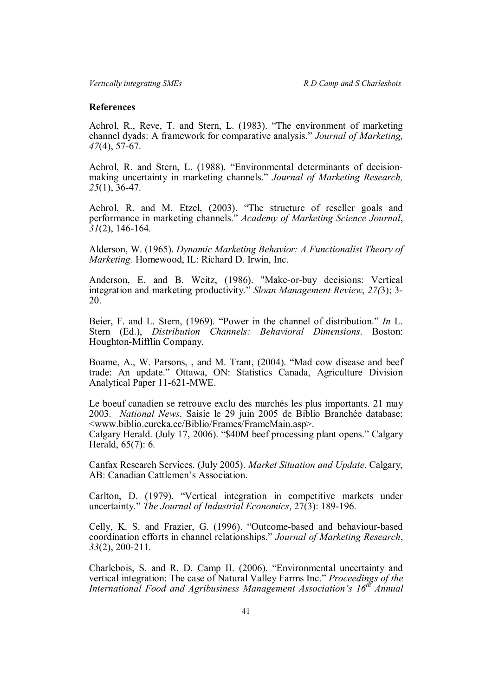## **References**

Achrol, R., Reve, T. and Stern, L. (1983). "The environment of marketing channel dyads: A framework for comparative analysis." *Journal of Marketing, 47*(4), 57-67.

Achrol, R. and Stern, L. (1988). "Environmental determinants of decisionmaking uncertainty in marketing channels." *Journal of Marketing Research, 25*(1), 36-47.

Achrol, R. and M. Etzel, (2003). "The structure of reseller goals and performance in marketing channels." *Academy of Marketing Science Journal*, *31*(2), 146-164.

Alderson, W. (1965). *Dynamic Marketing Behavior: A Functionalist Theory of Marketing.* Homewood, IL: Richard D. Irwin, Inc.

Anderson, E. and B. Weitz, (1986). "Make-or-buy decisions: Vertical integration and marketing productivity." *Sloan Management Review*, *27(*3); 3- 20.

Beier, F. and L. Stern, (1969). "Power in the channel of distribution." *In* L. Stern (Ed.), *Distribution Channels: Behavioral Dimensions*. Boston: Houghton-Mifflin Company.

Boame, A., W. Parsons, , and M. Trant, (2004). "Mad cow disease and beef trade: An update." Ottawa, ON: Statistics Canada, Agriculture Division Analytical Paper 11-621-MWE.

Le boeuf canadien se retrouve exclu des marchés les plus importants. 21 may 2003. *National News*. Saisie le 29 juin 2005 de Biblio Branchée database: <www.biblio.eureka.cc/Biblio/Frames/FrameMain.asp>. Calgary Herald. (July 17, 2006). "\$40M beef processing plant opens." Calgary Herald, 65(7): 6.

Canfax Research Services. (July 2005). *Market Situation and Update*. Calgary, AB: Canadian Cattlemen's Association.

Carlton, D. (1979). "Vertical integration in competitive markets under uncertainty." *The Journal of Industrial Economics*, 27(3): 189-196.

Celly, K. S. and Frazier, G. (1996). "Outcome-based and behaviour-based coordination efforts in channel relationships." *Journal of Marketing Research*, *33*(2), 200-211.

Charlebois, S. and R. D. Camp II. (2006). "Environmental uncertainty and vertical integration: The case of Natural Valley Farms Inc." *Proceedings of the International Food and Agribusiness Management Association's 16th Annual*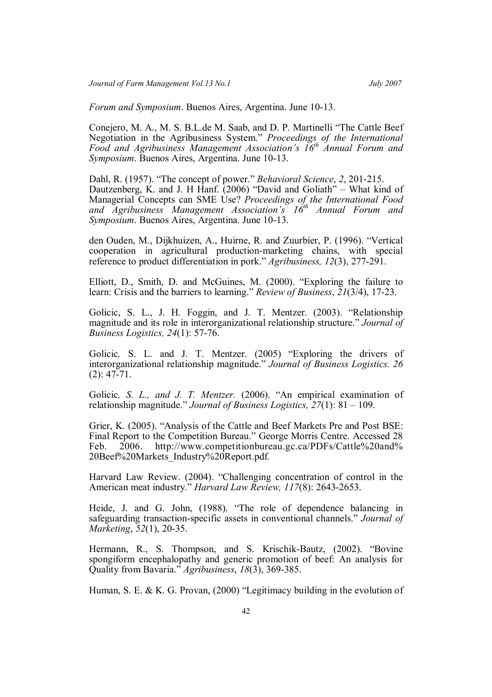*Forum and Symposium*. Buenos Aires, Argentina. June 10-13.

Conejero, M. A., M. S. B.L.de M. Saab, and D. P. Martinelli "The Cattle Beef Negotiation in the Agribusiness System." *Proceedings of the International Food and Agribusiness Management Association's 16th Annual Forum and Symposium*. Buenos Aires, Argentina. June 10-13.

Dahl, R. (1957). "The concept of power." *Behavioral Science*, *2*, 201-215. Dautzenberg, K. and J. H Hanf. (2006) "David and Goliath" – What kind of Managerial Concepts can SME Use? *Proceedings of the International Food and Agribusiness Management Association's 16th Annual Forum and Symposium*. Buenos Aires, Argentina. June 10-13.

den Ouden, M., Dijkhuizen, A., Huirne, R. and Zuurbier, P. (1996). "Vertical cooperation in agricultural production-marketing chains, with special reference to product differentiation in pork." *Agribusiness, 12*(3), 277-291.

Elliott, D., Smith, D. and McGuines, M. (2000). "Exploring the failure to learn: Crisis and the barriers to learning." *Review of Business*, *21*(3/4), 17-23.

Golicic, S. L., J. H. Foggin, and J. T. Mentzer. (2003). "Relationship magnitude and its role in interorganizational relationship structure." *Journal of Business Logistics, 24*(1): 57-76.

Golicic, S. L. and J. T. Mentzer. (2005) "Exploring the drivers of interorganizational relationship magnitude." *Journal of Business Logistics. 26* (2): 47-71.

Golicic*, S. L., and J. T. Mentzer.* (2006). "An empirical examination of relationship magnitude." *Journal of Business Logistics, 27*(1): 81 – 109.

Grier, K. (2005). "Analysis of the Cattle and Beef Markets Pre and Post BSE: Final Report to the Competition Bureau." George Morris Centre. Accessed 28 Feb. 2006. http://www.competitionbureau.gc.ca/PDFs/Cattle%20and% 20Beef%20Markets\_Industry%20Report.pdf.

Harvard Law Review. (2004). "Challenging concentration of control in the American meat industry." *Harvard Law Review, 117*(8): 2643-2653.

Heide, J. and G. John, (1988). "The role of dependence balancing in safeguarding transaction-specific assets in conventional channels." *Journal of Marketing*, *52*(1), 20-35.

Hermann, R., S. Thompson, and S. Krischik-Bautz, (2002). "Bovine spongiform encephalopathy and generic promotion of beef: An analysis for Quality from Bavaria." *Agribusiness*, *18*(3), 369-385.

Human, S. E. & K. G. Provan, (2000) "Legitimacy building in the evolution of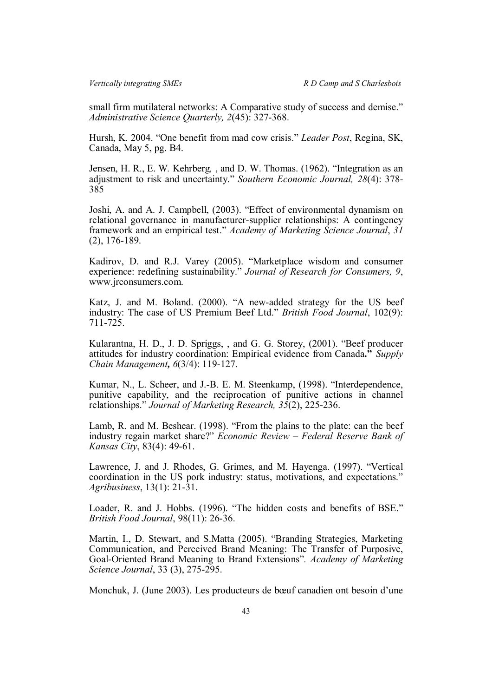small firm mutilateral networks: A Comparative study of success and demise." *Administrative Science Quarterly, 2*(45): 327-368.

Hursh, K. 2004. "One benefit from mad cow crisis." *Leader Post*, Regina, SK, Canada, May 5, pg. B4.

Jensen, H. R., E. W*.* Kehrberg*,* , and D. W. Thomas. (1962). "Integration as an adjustment to risk and uncertainty." *Southern Economic Journal, 28*(4): 378- 385

Joshi, A. and A. J. Campbell, (2003). "Effect of environmental dynamism on relational governance in manufacturer-supplier relationships: A contingency framework and an empirical test." *Academy of Marketing Science Journal*, *31* (2), 176-189.

Kadirov, D. and R.J. Varey (2005). "Marketplace wisdom and consumer experience: redefining sustainability." *Journal of Research for Consumers, 9*, www.jrconsumers.com.

Katz, J. and M. Boland. (2000). "A new-added strategy for the US beef industry: The case of US Premium Beef Ltd." *British Food Journal*, 102(9): 711-725.

Kularantna, H. D., J. D. Spriggs, , and G. G. Storey, (2001). "Beef producer attitudes for industry coordination: Empirical evidence from Canada**."** *Supply Chain Management, 6*(3/4): 119-127.

Kumar, N., L. Scheer, and J.-B. E. M. Steenkamp, (1998). "Interdependence, punitive capability, and the reciprocation of punitive actions in channel relationships." *Journal of Marketing Research, 35*(2), 225-236.

Lamb, R. and M. Beshear. (1998). "From the plains to the plate: can the beef industry regain market share?" *Economic Review – Federal Reserve Bank of Kansas City*, 83(4): 49-61.

Lawrence, J. and J. Rhodes, G. Grimes, and M. Hayenga. (1997). "Vertical coordination in the US pork industry: status, motivations, and expectations." *Agribusiness*, 13(1): 21-31.

Loader, R. and J. Hobbs. (1996). "The hidden costs and benefits of BSE." *British Food Journal*, 98(11): 26-36.

Martin, I., D. Stewart, and S.Matta (2005). "Branding Strategies, Marketing Communication, and Perceived Brand Meaning: The Transfer of Purposive, Goal-Oriented Brand Meaning to Brand Extensions"*. Academy of Marketing Science Journal*, 33 (3), 275-295.

Monchuk, J. (June 2003). Les producteurs de bœuf canadien ont besoin d'une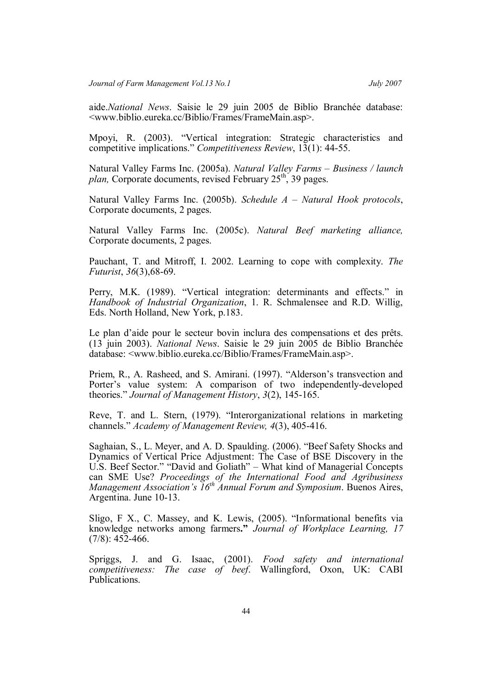aide.*National News*. Saisie le 29 juin 2005 de Biblio Branchée database: <www.biblio.eureka.cc/Biblio/Frames/FrameMain.asp>.

Mpoyi, R. (2003). "Vertical integration: Strategic characteristics and competitive implications." *Competitiveness Review*, 13(1): 44-55.

Natural Valley Farms Inc. (2005a). *Natural Valley Farms – Business / launch plan,* Corporate documents, revised February 25<sup>th</sup>, 39 pages.

Natural Valley Farms Inc. (2005b). *Schedule A – Natural Hook protocols*, Corporate documents, 2 pages.

Natural Valley Farms Inc. (2005c). *Natural Beef marketing alliance,* Corporate documents, 2 pages.

Pauchant, T. and Mitroff, I. 2002. Learning to cope with complexity. *The Futurist*, *36*(3),68-69.

Perry, M.K. (1989). "Vertical integration: determinants and effects." in *Handbook of Industrial Organization*, 1. R. Schmalensee and R.D. Willig, Eds. North Holland, New York, p.183.

Le plan d'aide pour le secteur bovin inclura des compensations et des prêts. (13 juin 2003). *National News*. Saisie le 29 juin 2005 de Biblio Branchée database: <www.biblio.eureka.cc/Biblio/Frames/FrameMain.asp>.

Priem, R., A. Rasheed, and S. Amirani. (1997). "Alderson's transvection and Porter's value system: A comparison of two independently-developed theories." *Journal of Management History*, *3*(2), 145-165.

Reve, T. and L. Stern, (1979). "Interorganizational relations in marketing channels." *Academy of Management Review, 4*(3), 405-416.

Saghaian, S., L. Meyer, and A. D. Spaulding. (2006). "Beef Safety Shocks and Dynamics of Vertical Price Adjustment: The Case of BSE Discovery in the U.S. Beef Sector." "David and Goliath" – What kind of Managerial Concepts can SME Use? *Proceedings of the International Food and Agribusiness Management Association's 16th Annual Forum and Symposium*. Buenos Aires, Argentina. June 10-13.

Sligo, F X., C. Massey, and K. Lewis, (2005). "Informational benefits via knowledge networks among farmers**."** *Journal of Workplace Learning, 17*  $(7/8)$ : 452-466.

Spriggs, J. and G. Isaac, (2001). *Food safety and international competitiveness: The case of beef*. Wallingford, Oxon, UK: CABI Publications.